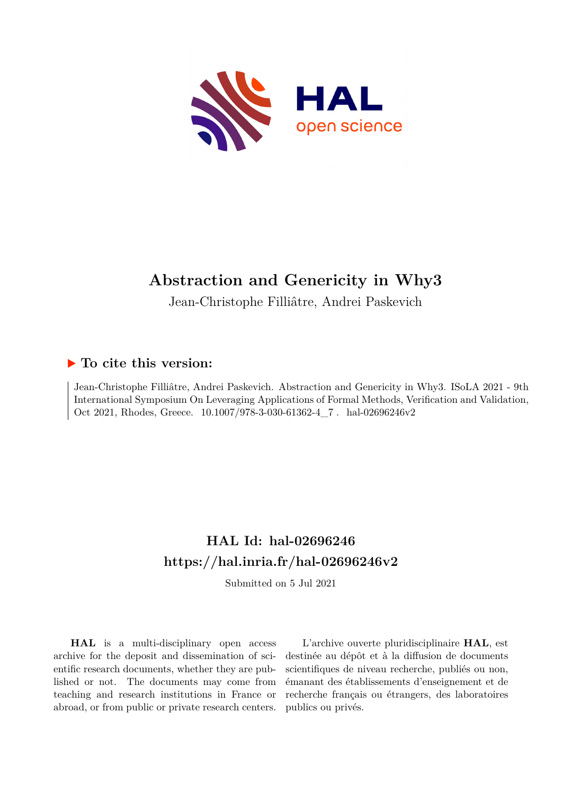

# **Abstraction and Genericity in Why3**

Jean-Christophe Filliâtre, Andrei Paskevich

# **To cite this version:**

Jean-Christophe Filliâtre, Andrei Paskevich. Abstraction and Genericity in Why3. ISoLA 2021 - 9th International Symposium On Leveraging Applications of Formal Methods, Verification and Validation, Oct 2021, Rhodes, Greece.  $10.1007/978-3-030-61362-4$  7. hal-02696246v2

# **HAL Id: hal-02696246 <https://hal.inria.fr/hal-02696246v2>**

Submitted on 5 Jul 2021

**HAL** is a multi-disciplinary open access archive for the deposit and dissemination of scientific research documents, whether they are published or not. The documents may come from teaching and research institutions in France or abroad, or from public or private research centers.

L'archive ouverte pluridisciplinaire **HAL**, est destinée au dépôt et à la diffusion de documents scientifiques de niveau recherche, publiés ou non, émanant des établissements d'enseignement et de recherche français ou étrangers, des laboratoires publics ou privés.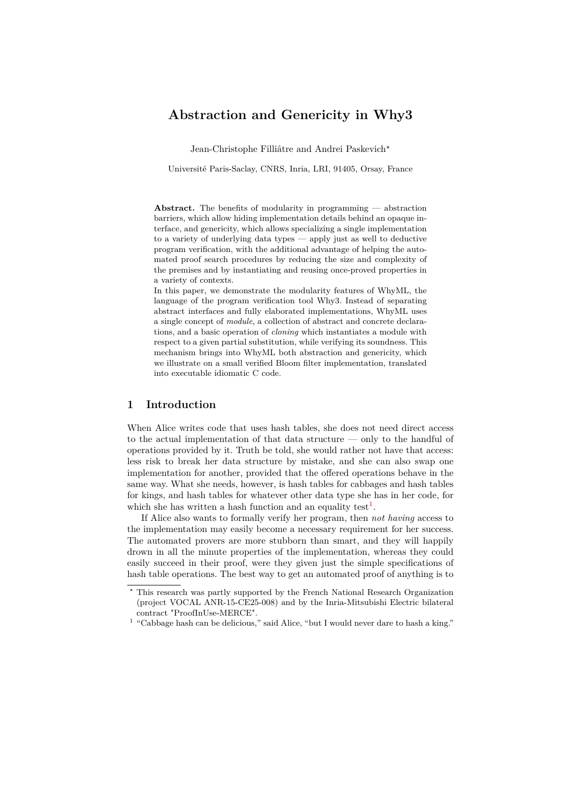# **Abstraction and Genericity in Why3**

Jean-Christophe Filliâtre and Andrei Paskevich*?*

Université Paris-Saclay, CNRS, Inria, LRI, 91405, Orsay, France

**Abstract.** The benefits of modularity in programming — abstraction barriers, which allow hiding implementation details behind an opaque interface, and genericity, which allows specializing a single implementation to a variety of underlying data types — apply just as well to deductive program verification, with the additional advantage of helping the automated proof search procedures by reducing the size and complexity of the premises and by instantiating and reusing once-proved properties in a variety of contexts.

In this paper, we demonstrate the modularity features of WhyML, the language of the program verification tool Why3. Instead of separating abstract interfaces and fully elaborated implementations, WhyML uses a single concept of *module*, a collection of abstract and concrete declarations, and a basic operation of *cloning* which instantiates a module with respect to a given partial substitution, while verifying its soundness. This mechanism brings into WhyML both abstraction and genericity, which we illustrate on a small verified Bloom filter implementation, translated into executable idiomatic C code.

# **1 Introduction**

When Alice writes code that uses hash tables, she does not need direct access to the actual implementation of that data structure — only to the handful of operations provided by it. Truth be told, she would rather not have that access: less risk to break her data structure by mistake, and she can also swap one implementation for another, provided that the offered operations behave in the same way. What she needs, however, is hash tables for cabbages and hash tables for kings, and hash tables for whatever other data type she has in her code, for which she has written a hash function and an equality test<sup>1</sup>.

If Alice also wants to formally verify her program, then *not having* access to the implementation may easily become a necessary requirement for her success. The automated provers are more stubborn than smart, and they will happily drown in all the minute properties of the implementation, whereas they could easily succeed in their proof, were they given just the simple specifications of hash table operations. The best way to get an automated proof of anything is to

*<sup>?</sup>* This research was partly supported by the French National Research Organization (project VOCAL ANR-15-CE25-008) and by the Inria-Mitsubishi Electric bilateral contract "ProofInUse-MERCE".

<sup>&</sup>lt;sup>1</sup> "Cabbage hash can be delicious," said Alice, "but I would never dare to hash a king."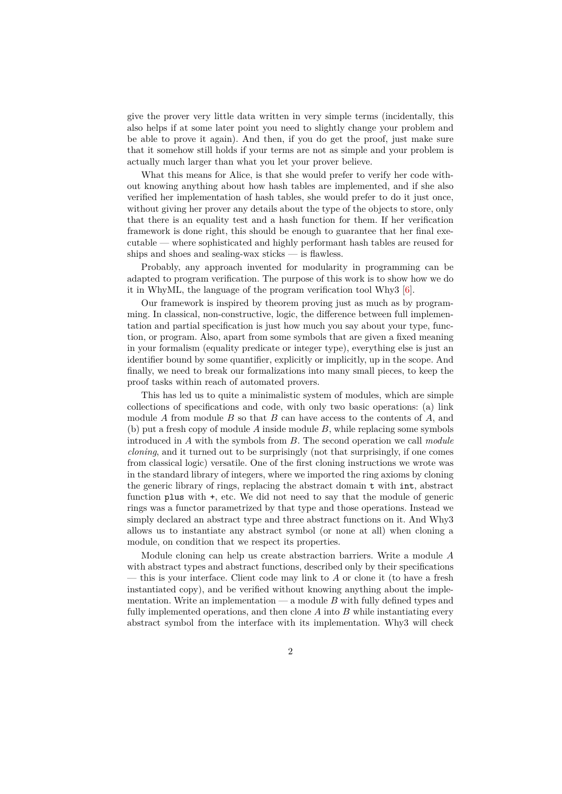give the prover very little data written in very simple terms (incidentally, this also helps if at some later point you need to slightly change your problem and be able to prove it again). And then, if you do get the proof, just make sure that it somehow still holds if your terms are not as simple and your problem is actually much larger than what you let your prover believe.

What this means for Alice, is that she would prefer to verify her code without knowing anything about how hash tables are implemented, and if she also verified her implementation of hash tables, she would prefer to do it just once, without giving her prover any details about the type of the objects to store, only that there is an equality test and a hash function for them. If her verification framework is done right, this should be enough to guarantee that her final executable — where sophisticated and highly performant hash tables are reused for ships and shoes and sealing-wax sticks  $-$  is flawless.

Probably, any approach invented for modularity in programming can be adapted to program verification. The purpose of this work is to show how we do it in WhyML, the language of the program verification tool Why3 [6].

Our framework is inspired by theorem proving just as much as by programming. In classical, non-constructive, logic, the difference between full implementation and partial specification is just how much you say about your type, function, or program. Also, apart from some symbols that are given a fixed meaning in your formalism (equality predicate or integer type), everything else is just an identifier bound by some quantifier, explicitly or implicitly, up in the scope. And finally, we need to break our formalizations into many small pieces, to keep the proof tasks within reach of automated provers.

This has led us to quite a minimalistic system of modules, which are simple collections of specifications and code, with only two basic operations: (a) link module *A* from module *B* so that *B* can have access to the contents of *A*, and (b) put a fresh copy of module *A* inside module *B*, while replacing some symbols introduced in *A* with the symbols from *B*. The second operation we call *module cloning*, and it turned out to be surprisingly (not that surprisingly, if one comes from classical logic) versatile. One of the first cloning instructions we wrote was in the standard library of integers, where we imported the ring axioms by cloning the generic library of rings, replacing the abstract domain t with int, abstract function plus with +, etc. We did not need to say that the module of generic rings was a functor parametrized by that type and those operations. Instead we simply declared an abstract type and three abstract functions on it. And Why3 allows us to instantiate any abstract symbol (or none at all) when cloning a module, on condition that we respect its properties.

Module cloning can help us create abstraction barriers. Write a module *A* with abstract types and abstract functions, described only by their specifications — this is your interface. Client code may link to *A* or clone it (to have a fresh instantiated copy), and be verified without knowing anything about the implementation. Write an implementation — a module *B* with fully defined types and fully implemented operations, and then clone *A* into *B* while instantiating every abstract symbol from the interface with its implementation. Why3 will check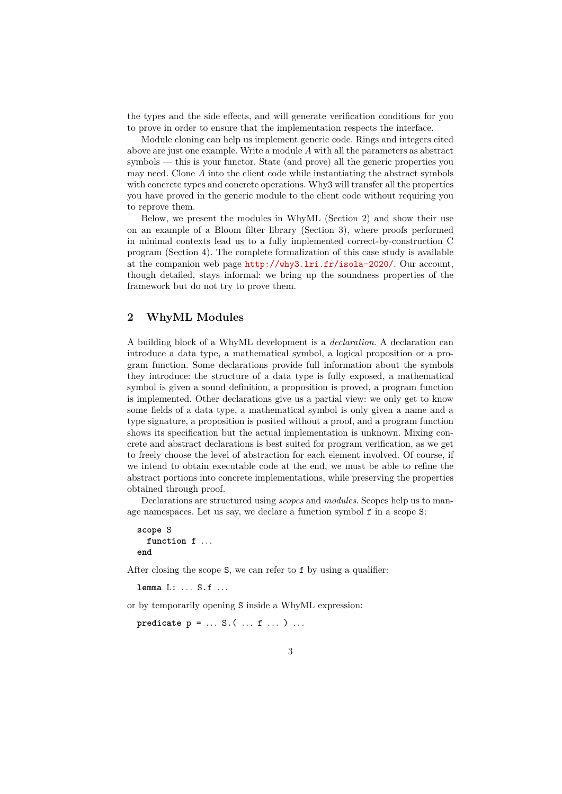the types and the side effects, and will generate verification conditions for you to prove in order to ensure that the implementation respects the interface.

Module cloning can help us implement generic code. Rings and integers cited above are just one example. Write a module *A* with all the parameters as abstract symbols — this is your functor. State (and prove) all the generic properties you may need. Clone *A* into the client code while instantiating the abstract symbols with concrete types and concrete operations. Why 3 will transfer all the properties you have proved in the generic module to the client code without requiring you to reprove them.

Below, we present the modules in WhyML (Section 2) and show their use on an example of a Bloom filter library (Section 3), where proofs performed in minimal contexts lead us to a fully implemented correct-by-construction C program (Section 4). The complete formalization of this case study is available at the companion web page <http://why3.lri.fr/isola-2020/>. Our account, though detailed, stays informal: we bring up the soundness properties of the framework but do not try to prove them.

# **2 WhyML Modules**

A building block of a WhyML development is a *declaration*. A declaration can introduce a data type, a mathematical symbol, a logical proposition or a program function. Some declarations provide full information about the symbols they introduce: the structure of a data type is fully exposed, a mathematical symbol is given a sound definition, a proposition is proved, a program function is implemented. Other declarations give us a partial view: we only get to know some fields of a data type, a mathematical symbol is only given a name and a type signature, a proposition is posited without a proof, and a program function shows its specification but the actual implementation is unknown. Mixing concrete and abstract declarations is best suited for program verification, as we get to freely choose the level of abstraction for each element involved. Of course, if we intend to obtain executable code at the end, we must be able to refine the abstract portions into concrete implementations, while preserving the properties obtained through proof.

Declarations are structured using *scopes* and *modules*. Scopes help us to manage namespaces. Let us say, we declare a function symbol f in a scope S:

```
scope S
  function f . . .
end
```
After closing the scope S, we can refer to f by using a qualifier:

**lemma** L: *. . .* S.f *. . .*

or by temporarily opening S inside a WhyML expression:

**predicate** p = *. . .* S.( *. . .* f *. . .* ) *. . .*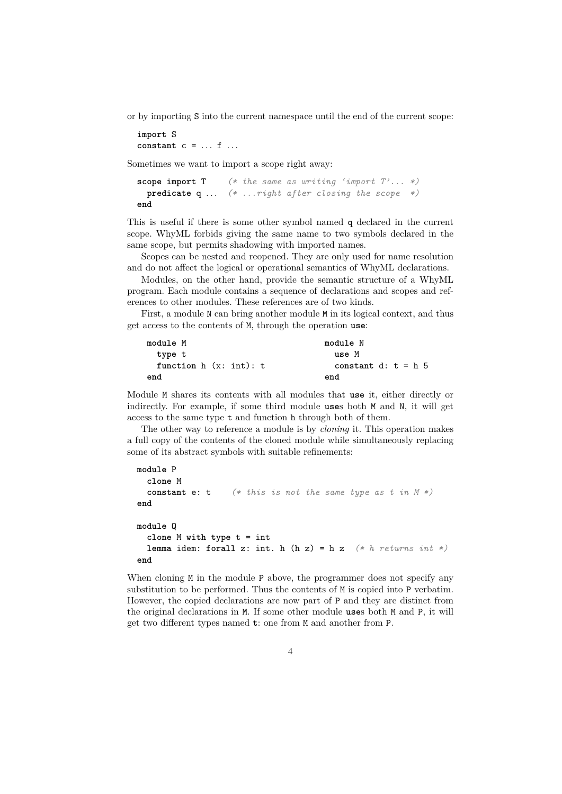or by importing S into the current namespace until the end of the current scope:

**import** S **constant** c = *. . .* f *. . .*

Sometimes we want to import a scope right away:

```
scope import T (* the same as writing 'import T'... *)
 predicate q ... (* \dots right after closing the scope *)
end
```
This is useful if there is some other symbol named q declared in the current scope. WhyML forbids giving the same name to two symbols declared in the same scope, but permits shadowing with imported names.

Scopes can be nested and reopened. They are only used for name resolution and do not affect the logical or operational semantics of WhyML declarations.

Modules, on the other hand, provide the semantic structure of a WhyML program. Each module contains a sequence of declarations and scopes and references to other modules. These references are of two kinds.

First, a module N can bring another module M in its logical context, and thus get access to the contents of M, through the operation **use**:

| module M                | module N              |
|-------------------------|-----------------------|
| type t                  | use M                 |
| function $h(x: int): t$ | constant $d: t = h 5$ |
| end                     | end                   |

Module M shares its contents with all modules that **use** it, either directly or indirectly. For example, if some third module **use**s both M and N, it will get access to the same type t and function h through both of them.

The other way to reference a module is by *cloning* it. This operation makes a full copy of the contents of the cloned module while simultaneously replacing some of its abstract symbols with suitable refinements:

```
module P
  clone M
  constant e: t (* this is not the same type as t in M *)
end
module Q
  clone M with type t = int
  lemma idem: forall z: int. h (h z) = h z (* h returns int *)end
```
When cloning M in the module P above, the programmer does not specify any substitution to be performed. Thus the contents of M is copied into P verbatim. However, the copied declarations are now part of P and they are distinct from the original declarations in M. If some other module **use**s both M and P, it will get two different types named t: one from M and another from P.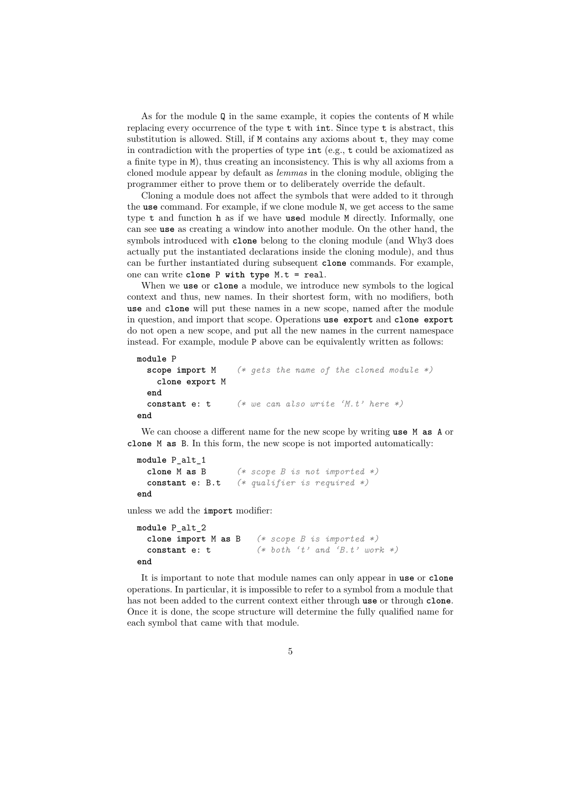As for the module Q in the same example, it copies the contents of M while replacing every occurrence of the type t with int. Since type t is abstract, this substitution is allowed. Still, if M contains any axioms about t, they may come in contradiction with the properties of type  $int$  (e.g., t could be axiomatized as a finite type in M), thus creating an inconsistency. This is why all axioms from a cloned module appear by default as *lemmas* in the cloning module, obliging the programmer either to prove them or to deliberately override the default.

Cloning a module does not affect the symbols that were added to it through the **use** command. For example, if we clone module N, we get access to the same type t and function h as if we have **use**d module M directly. Informally, one can see **use** as creating a window into another module. On the other hand, the symbols introduced with **clone** belong to the cloning module (and Why3 does actually put the instantiated declarations inside the cloning module), and thus can be further instantiated during subsequent **clone** commands. For example, one can write **clone** P **with type** M.t = real.

When we **use** or **clone** a module, we introduce new symbols to the logical context and thus, new names. In their shortest form, with no modifiers, both **use** and **clone** will put these names in a new scope, named after the module in question, and import that scope. Operations **use export** and **clone export** do not open a new scope, and put all the new names in the current namespace instead. For example, module P above can be equivalently written as follows:

```
module P
 scope import M (* gets the name of the cloned module *)
   clone export M
 end
 constant e: t (* we can also write 'M.t' here *)
end
```
We can choose a different name for the new scope by writing **use** M **as** A or **clone** M **as** B. In this form, the new scope is not imported automatically:

```
module P_alt_1
 clone M as B (* scope B is not imported *)
 constant e: B.t (* qualifier is required *)
end
```
unless we add the **import** modifier:

```
module P_alt_2
 clone import M as B (* scope B is imported *)
 constant e: t (* both 't' and 'B.t' work *)
end
```
It is important to note that module names can only appear in **use** or **clone** operations. In particular, it is impossible to refer to a symbol from a module that has not been added to the current context either through **use** or through **clone**. Once it is done, the scope structure will determine the fully qualified name for each symbol that came with that module.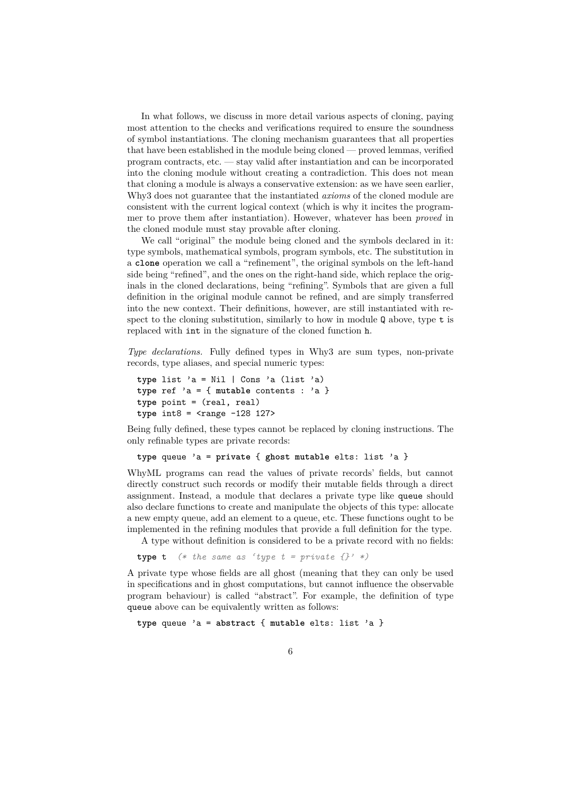In what follows, we discuss in more detail various aspects of cloning, paying most attention to the checks and verifications required to ensure the soundness of symbol instantiations. The cloning mechanism guarantees that all properties that have been established in the module being cloned — proved lemmas, verified program contracts, etc. — stay valid after instantiation and can be incorporated into the cloning module without creating a contradiction. This does not mean that cloning a module is always a conservative extension: as we have seen earlier, Why3 does not guarantee that the instantiated *axioms* of the cloned module are consistent with the current logical context (which is why it incites the programmer to prove them after instantiation). However, whatever has been *proved* in the cloned module must stay provable after cloning.

We call "original" the module being cloned and the symbols declared in it: type symbols, mathematical symbols, program symbols, etc. The substitution in a **clone** operation we call a "refinement", the original symbols on the left-hand side being "refined", and the ones on the right-hand side, which replace the originals in the cloned declarations, being "refining". Symbols that are given a full definition in the original module cannot be refined, and are simply transferred into the new context. Their definitions, however, are still instantiated with respect to the cloning substitution, similarly to how in module  $\mathbf Q$  above, type  $\mathbf t$  is replaced with int in the signature of the cloned function h.

*Type declarations.* Fully defined types in Why3 are sum types, non-private records, type aliases, and special numeric types:

```
type list 'a = Nil | Cons 'a (list 'a)
type ref 'a = { mutable contents : 'a }
type point = (real, real)
type int8 = <range -128 127>
```
Being fully defined, these types cannot be replaced by cloning instructions. The only refinable types are private records:

**type** queue 'a = **private** { **ghost mutable** elts: list 'a }

WhyML programs can read the values of private records' fields, but cannot directly construct such records or modify their mutable fields through a direct assignment. Instead, a module that declares a private type like queue should also declare functions to create and manipulate the objects of this type: allocate a new empty queue, add an element to a queue, etc. These functions ought to be implemented in the refining modules that provide a full definition for the type.

A type without definition is considered to be a private record with no fields:

**type t**  $(*$  *the same as 'type*  $t = private$   $\{f' * \}$ 

A private type whose fields are all ghost (meaning that they can only be used in specifications and in ghost computations, but cannot influence the observable program behaviour) is called "abstract". For example, the definition of type queue above can be equivalently written as follows:

**type** queue 'a = **abstract** { **mutable** elts: list 'a }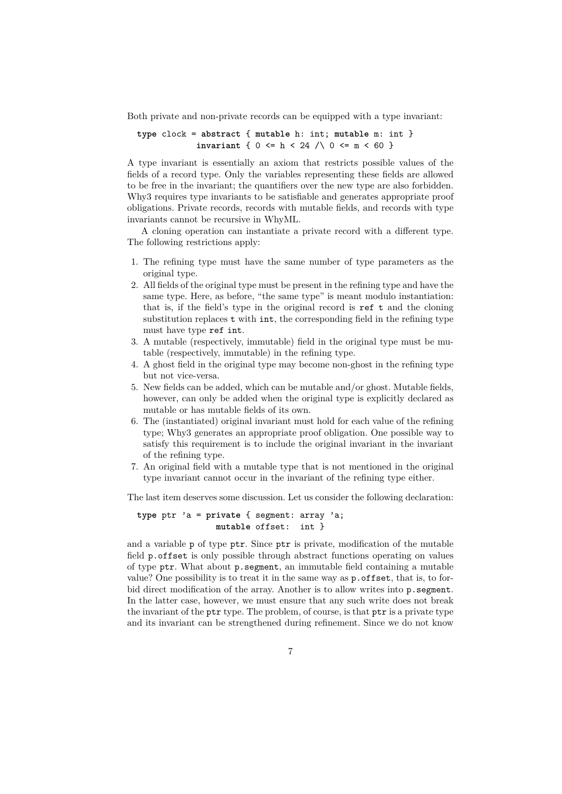Both private and non-private records can be equipped with a type invariant:

**type** clock = **abstract** { **mutable** h: int; **mutable** m: int } **invariant** {  $0 \le h \le 24$  /  $0 \le m \le 60$  }

A type invariant is essentially an axiom that restricts possible values of the fields of a record type. Only the variables representing these fields are allowed to be free in the invariant; the quantifiers over the new type are also forbidden. Why3 requires type invariants to be satisfiable and generates appropriate proof obligations. Private records, records with mutable fields, and records with type invariants cannot be recursive in WhyML.

A cloning operation can instantiate a private record with a different type. The following restrictions apply:

- 1. The refining type must have the same number of type parameters as the original type.
- 2. All fields of the original type must be present in the refining type and have the same type. Here, as before, "the same type" is meant modulo instantiation: that is, if the field's type in the original record is ref t and the cloning substitution replaces t with int, the corresponding field in the refining type must have type ref int.
- 3. A mutable (respectively, immutable) field in the original type must be mutable (respectively, immutable) in the refining type.
- 4. A ghost field in the original type may become non-ghost in the refining type but not vice-versa.
- 5. New fields can be added, which can be mutable and/or ghost. Mutable fields, however, can only be added when the original type is explicitly declared as mutable or has mutable fields of its own.
- 6. The (instantiated) original invariant must hold for each value of the refining type; Why3 generates an appropriate proof obligation. One possible way to satisfy this requirement is to include the original invariant in the invariant of the refining type.
- 7. An original field with a mutable type that is not mentioned in the original type invariant cannot occur in the invariant of the refining type either.

The last item deserves some discussion. Let us consider the following declaration:

```
type ptr 'a = private { segment: array 'a;
               mutable offset: int }
```
and a variable p of type ptr. Since ptr is private, modification of the mutable field p.offset is only possible through abstract functions operating on values of type ptr. What about p.segment, an immutable field containing a mutable value? One possibility is to treat it in the same way as p.offset, that is, to forbid direct modification of the array. Another is to allow writes into p.segment. In the latter case, however, we must ensure that any such write does not break the invariant of the ptr type. The problem, of course, is that ptr is a private type and its invariant can be strengthened during refinement. Since we do not know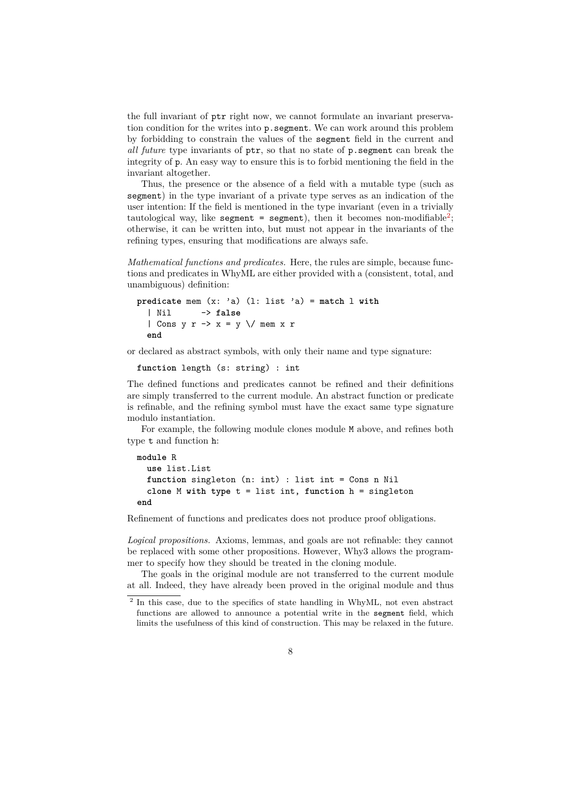the full invariant of ptr right now, we cannot formulate an invariant preservation condition for the writes into p.segment. We can work around this problem by forbidding to constrain the values of the segment field in the current and *all future* type invariants of ptr, so that no state of p.segment can break the integrity of p. An easy way to ensure this is to forbid mentioning the field in the invariant altogether.

Thus, the presence or the absence of a field with a mutable type (such as segment) in the type invariant of a private type serves as an indication of the user intention: If the field is mentioned in the type invariant (even in a trivially tautological way, like segment = segment), then it becomes non-modifiable<sup>2</sup>; otherwise, it can be written into, but must not appear in the invariants of the refining types, ensuring that modifications are always safe.

*Mathematical functions and predicates.* Here, the rules are simple, because functions and predicates in WhyML are either provided with a (consistent, total, and unambiguous) definition:

```
predicate mem (x: 'a) (l: list 'a) = match l with
  | Nil -> false
  | Cons y r -> x = y \setminus mem x r
  end
```
or declared as abstract symbols, with only their name and type signature:

```
function length (s: string) : int
```
The defined functions and predicates cannot be refined and their definitions are simply transferred to the current module. An abstract function or predicate is refinable, and the refining symbol must have the exact same type signature modulo instantiation.

For example, the following module clones module M above, and refines both type t and function h:

```
module R
 use list.List
 function singleton (n: int) : list int = Cons n Nil
 clone M with type t = list int, function h = singleton
end
```
Refinement of functions and predicates does not produce proof obligations.

*Logical propositions.* Axioms, lemmas, and goals are not refinable: they cannot be replaced with some other propositions. However, Why3 allows the programmer to specify how they should be treated in the cloning module.

The goals in the original module are not transferred to the current module at all. Indeed, they have already been proved in the original module and thus

<sup>&</sup>lt;sup>2</sup> In this case, due to the specifics of state handling in WhyML, not even abstract functions are allowed to announce a potential write in the segment field, which limits the usefulness of this kind of construction. This may be relaxed in the future.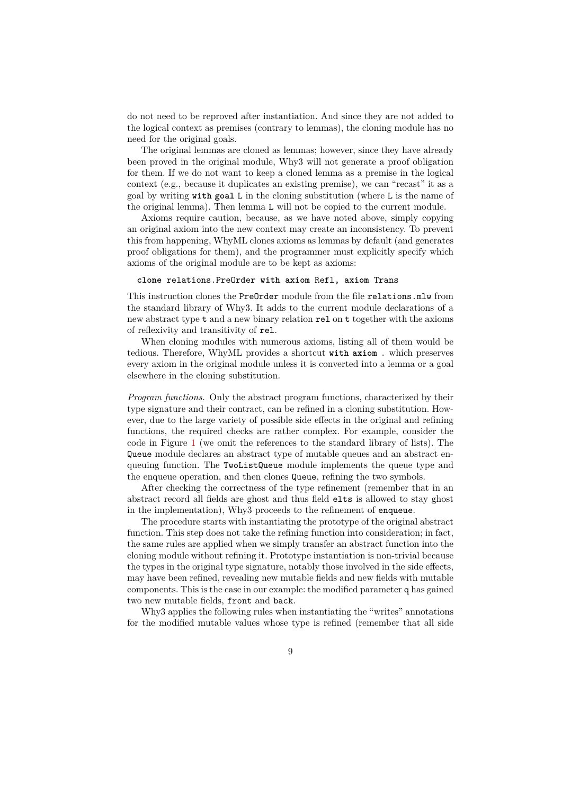do not need to be reproved after instantiation. And since they are not added to the logical context as premises (contrary to lemmas), the cloning module has no need for the original goals.

The original lemmas are cloned as lemmas; however, since they have already been proved in the original module, Why3 will not generate a proof obligation for them. If we do not want to keep a cloned lemma as a premise in the logical context (e.g., because it duplicates an existing premise), we can "recast" it as a goal by writing **with goal** L in the cloning substitution (where L is the name of the original lemma). Then lemma L will not be copied to the current module.

Axioms require caution, because, as we have noted above, simply copying an original axiom into the new context may create an inconsistency. To prevent this from happening, WhyML clones axioms as lemmas by default (and generates proof obligations for them), and the programmer must explicitly specify which axioms of the original module are to be kept as axioms:

#### **clone** relations.PreOrder **with axiom** Refl, **axiom** Trans

This instruction clones the PreOrder module from the file relations.mlw from the standard library of Why3. It adds to the current module declarations of a new abstract type t and a new binary relation rel on t together with the axioms of reflexivity and transitivity of rel.

When cloning modules with numerous axioms, listing all of them would be tedious. Therefore, WhyML provides a shortcut **with axiom** . which preserves every axiom in the original module unless it is converted into a lemma or a goal elsewhere in the cloning substitution.

*Program functions.* Only the abstract program functions, characterized by their type signature and their contract, can be refined in a cloning substitution. However, due to the large variety of possible side effects in the original and refining functions, the required checks are rather complex. For example, consider the code in Figure 1 (we omit the references to the standard library of lists). The Queue module declares an abstract type of mutable queues and an abstract enqueuing function. The TwoListQueue module implements the queue type and the enqueue operation, and then clones Queue, refining the two symbols.

After checking the correctness of the type refinement (remember that in an abstract record all fields are ghost and thus field elts is allowed to stay ghost in the implementation), Why3 proceeds to the refinement of enqueue.

The procedure starts with instantiating the prototype of the original abstract function. This step does not take the refining function into consideration; in fact, the same rules are applied when we simply transfer an abstract function into the cloning module without refining it. Prototype instantiation is non-trivial because the types in the original type signature, notably those involved in the side effects, may have been refined, revealing new mutable fields and new fields with mutable components. This is the case in our example: the modified parameter q has gained two new mutable fields, front and back.

Why3 applies the following rules when instantiating the "writes" annotations for the modified mutable values whose type is refined (remember that all side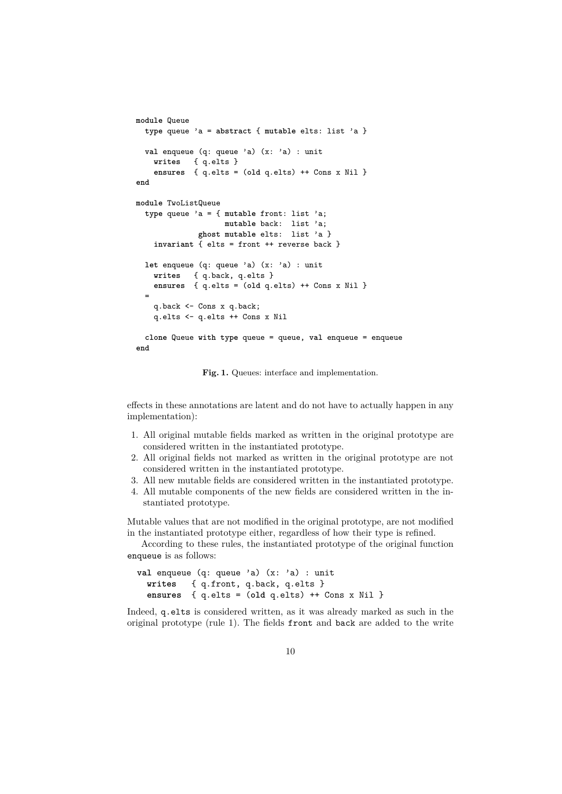```
module Queue
  type queue 'a = abstract { mutable elts: list 'a }
  val enqueue (q: queue 'a) (x: 'a) : unit
    writes { q.elts }
    ensures { q.elts = (old q.elts) ++ Cons x Nil }
end
module TwoListQueue
  type queue 'a = { mutable front: list 'a;
                   mutable back: list 'a;
              ghost mutable elts: list 'a }
    invariant { elts = front ++ reverse back }
  let enqueue (q: queue 'a) (x: 'a) : unit
    writes { q.back, q.elts }
    ensures { q.elts = (old q.elts) ++ Cons x Nil }
  =
    q.back <- Cons x q.back;
    q.elts <- q.elts ++ Cons x Nil
  clone Queue with type queue = queue, val enqueue = enqueue
end
```
**Fig. 1.** Queues: interface and implementation.

effects in these annotations are latent and do not have to actually happen in any implementation):

- 1. All original mutable fields marked as written in the original prototype are considered written in the instantiated prototype.
- 2. All original fields not marked as written in the original prototype are not considered written in the instantiated prototype.
- 3. All new mutable fields are considered written in the instantiated prototype.
- 4. All mutable components of the new fields are considered written in the instantiated prototype.

Mutable values that are not modified in the original prototype, are not modified in the instantiated prototype either, regardless of how their type is refined.

According to these rules, the instantiated prototype of the original function enqueue is as follows:

```
val enqueue (q: queue 'a) (x: 'a) : unit
 writes { q.front, q.back, q.elts }
 ensures { q.elts = (old q.elts) ++ Cons x Nil }
```
Indeed, q.elts is considered written, as it was already marked as such in the original prototype (rule 1). The fields front and back are added to the write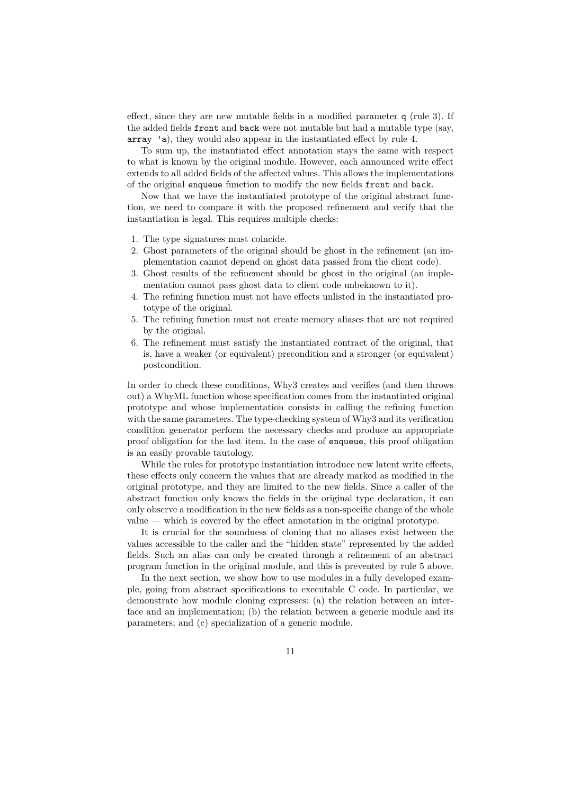effect, since they are new mutable fields in a modified parameter q (rule 3). If the added fields front and back were not mutable but had a mutable type (say, array 'a), they would also appear in the instantiated effect by rule 4.

To sum up, the instantiated effect annotation stays the same with respect to what is known by the original module. However, each announced write effect extends to all added fields of the affected values. This allows the implementations of the original enqueue function to modify the new fields front and back.

Now that we have the instantiated prototype of the original abstract function, we need to compare it with the proposed refinement and verify that the instantiation is legal. This requires multiple checks:

- 1. The type signatures must coincide.
- 2. Ghost parameters of the original should be ghost in the refinement (an implementation cannot depend on ghost data passed from the client code).
- 3. Ghost results of the refinement should be ghost in the original (an implementation cannot pass ghost data to client code unbeknown to it).
- 4. The refining function must not have effects unlisted in the instantiated prototype of the original.
- 5. The refining function must not create memory aliases that are not required by the original.
- 6. The refinement must satisfy the instantiated contract of the original, that is, have a weaker (or equivalent) precondition and a stronger (or equivalent) postcondition.

In order to check these conditions, Why3 creates and verifies (and then throws out) a WhyML function whose specification comes from the instantiated original prototype and whose implementation consists in calling the refining function with the same parameters. The type-checking system of Why3 and its verification condition generator perform the necessary checks and produce an appropriate proof obligation for the last item. In the case of enqueue, this proof obligation is an easily provable tautology.

While the rules for prototype instantiation introduce new latent write effects, these effects only concern the values that are already marked as modified in the original prototype, and they are limited to the new fields. Since a caller of the abstract function only knows the fields in the original type declaration, it can only observe a modification in the new fields as a non-specific change of the whole value — which is covered by the effect annotation in the original prototype.

It is crucial for the soundness of cloning that no aliases exist between the values accessible to the caller and the "hidden state" represented by the added fields. Such an alias can only be created through a refinement of an abstract program function in the original module, and this is prevented by rule 5 above.

In the next section, we show how to use modules in a fully developed example, going from abstract specifications to executable C code. In particular, we demonstrate how module cloning expresses: (a) the relation between an interface and an implementation; (b) the relation between a generic module and its parameters; and (c) specialization of a generic module.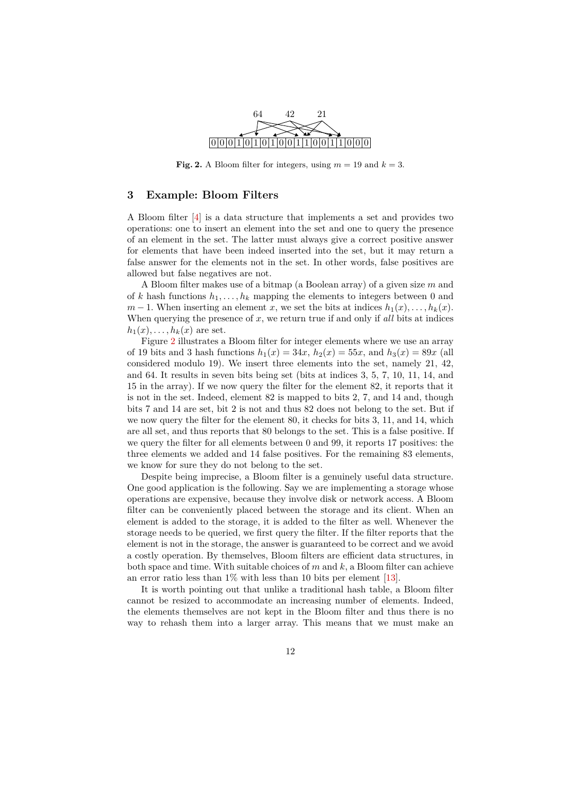

**Fig. 2.** A Bloom filter for integers, using  $m = 19$  and  $k = 3$ .

#### **3 Example: Bloom Filters**

A Bloom filter [4] is a data structure that implements a set and provides two operations: one to insert an element into the set and one to query the presence of an element in the set. The latter must always give a correct positive answer for elements that have been indeed inserted into the set, but it may return a false answer for the elements not in the set. In other words, false positives are allowed but false negatives are not.

A Bloom filter makes use of a bitmap (a Boolean array) of a given size *m* and of *k* hash functions  $h_1, \ldots, h_k$  mapping the elements to integers between 0 and  $m-1$ . When inserting an element *x*, we set the bits at indices  $h_1(x), \ldots, h_k(x)$ . When querying the presence of *x*, we return true if and only if *all* bits at indices  $h_1(x), \ldots, h_k(x)$  are set.

Figure 2 illustrates a Bloom filter for integer elements where we use an array of 19 bits and 3 hash functions  $h_1(x) = 34x$ ,  $h_2(x) = 55x$ , and  $h_3(x) = 89x$  (all considered modulo 19). We insert three elements into the set, namely 21, 42, and 64. It results in seven bits being set (bits at indices 3, 5, 7, 10, 11, 14, and 15 in the array). If we now query the filter for the element 82, it reports that it is not in the set. Indeed, element 82 is mapped to bits 2, 7, and 14 and, though bits 7 and 14 are set, bit 2 is not and thus 82 does not belong to the set. But if we now query the filter for the element 80, it checks for bits 3, 11, and 14, which are all set, and thus reports that 80 belongs to the set. This is a false positive. If we query the filter for all elements between 0 and 99, it reports 17 positives: the three elements we added and 14 false positives. For the remaining 83 elements, we know for sure they do not belong to the set.

Despite being imprecise, a Bloom filter is a genuinely useful data structure. One good application is the following. Say we are implementing a storage whose operations are expensive, because they involve disk or network access. A Bloom filter can be conveniently placed between the storage and its client. When an element is added to the storage, it is added to the filter as well. Whenever the storage needs to be queried, we first query the filter. If the filter reports that the element is not in the storage, the answer is guaranteed to be correct and we avoid a costly operation. By themselves, Bloom filters are efficient data structures, in both space and time. With suitable choices of *m* and *k*, a Bloom filter can achieve an error ratio less than  $1\%$  with less than 10 bits per element [13].

It is worth pointing out that unlike a traditional hash table, a Bloom filter cannot be resized to accommodate an increasing number of elements. Indeed, the elements themselves are not kept in the Bloom filter and thus there is no way to rehash them into a larger array. This means that we must make an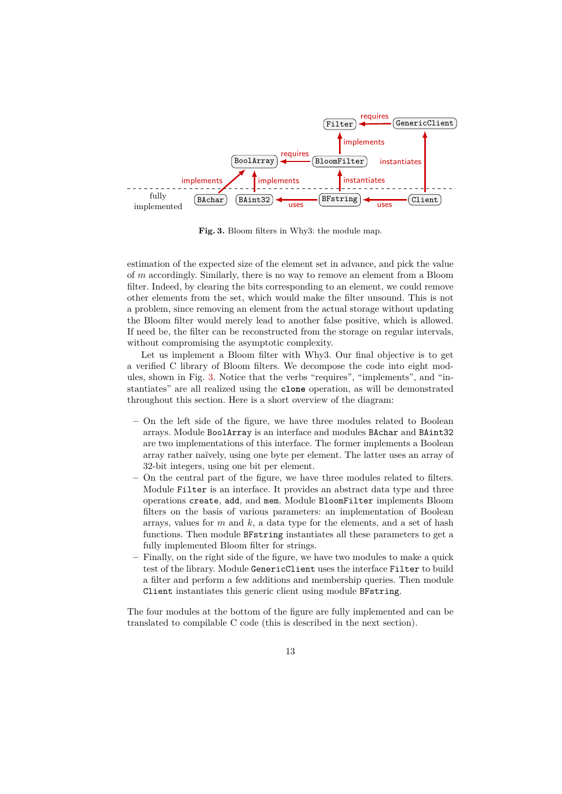

**Fig. 3.** Bloom filters in Why3: the module map.

estimation of the expected size of the element set in advance, and pick the value of *m* accordingly. Similarly, there is no way to remove an element from a Bloom filter. Indeed, by clearing the bits corresponding to an element, we could remove other elements from the set, which would make the filter unsound. This is not a problem, since removing an element from the actual storage without updating the Bloom filter would merely lead to another false positive, which is allowed. If need be, the filter can be reconstructed from the storage on regular intervals, without compromising the asymptotic complexity.

Let us implement a Bloom filter with Why3. Our final objective is to get a verified C library of Bloom filters. We decompose the code into eight modules, shown in Fig. 3. Notice that the verbs "requires", "implements", and "instantiates" are all realized using the **clone** operation, as will be demonstrated throughout this section. Here is a short overview of the diagram:

- **–** On the left side of the figure, we have three modules related to Boolean arrays. Module BoolArray is an interface and modules BAchar and BAint32 are two implementations of this interface. The former implements a Boolean array rather naïvely, using one byte per element. The latter uses an array of 32-bit integers, using one bit per element.
- **–** On the central part of the figure, we have three modules related to filters. Module Filter is an interface. It provides an abstract data type and three operations create, add, and mem. Module BloomFilter implements Bloom filters on the basis of various parameters: an implementation of Boolean arrays, values for *m* and *k*, a data type for the elements, and a set of hash functions. Then module BFstring instantiates all these parameters to get a fully implemented Bloom filter for strings.
- **–** Finally, on the right side of the figure, we have two modules to make a quick test of the library. Module GenericClient uses the interface Filter to build a filter and perform a few additions and membership queries. Then module Client instantiates this generic client using module BFstring.

The four modules at the bottom of the figure are fully implemented and can be translated to compilable C code (this is described in the next section).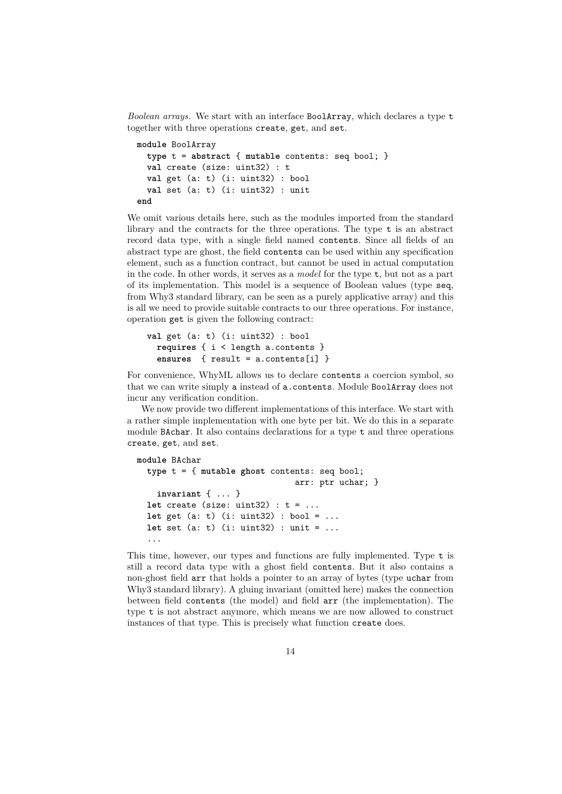*Boolean arrays.* We start with an interface BoolArray, which declares a type t together with three operations create, get, and set.

```
module BoolArray
 type t = abstract { mutable contents: seq bool; }
 val create (size: uint32) : t
 val get (a: t) (i: uint32) : bool
 val set (a: t) (i: uint32) : unit
end
```
We omit various details here, such as the modules imported from the standard library and the contracts for the three operations. The type t is an abstract record data type, with a single field named contents. Since all fields of an abstract type are ghost, the field contents can be used within any specification element, such as a function contract, but cannot be used in actual computation in the code. In other words, it serves as a *model* for the type t, but not as a part of its implementation. This model is a sequence of Boolean values (type seq, from Why3 standard library, can be seen as a purely applicative array) and this is all we need to provide suitable contracts to our three operations. For instance, operation get is given the following contract:

```
val get (a: t) (i: uint32) : bool
  requires { i < length a.contents }
  ensures { result = a.contents[i] }
```
For convenience, WhyML allows us to declare contents a coercion symbol, so that we can write simply a instead of a.contents. Module BoolArray does not incur any verification condition.

We now provide two different implementations of this interface. We start with a rather simple implementation with one byte per bit. We do this in a separate module BAchar. It also contains declarations for a type t and three operations create, get, and set.

```
module BAchar
 type t = { mutable ghost contents: seq bool;
                                arr: ptr uchar; }
    invariant { ... }
 let create (size: uint32) : t = ...
 let get (a: t) (i: uint32) : bool = ...
 let set (a: t) (i: uint32) : unit = ...
  ...
```
This time, however, our types and functions are fully implemented. Type t is still a record data type with a ghost field contents. But it also contains a non-ghost field arr that holds a pointer to an array of bytes (type uchar from Why3 standard library). A gluing invariant (omitted here) makes the connection between field contents (the model) and field arr (the implementation). The type t is not abstract anymore, which means we are now allowed to construct instances of that type. This is precisely what function create does.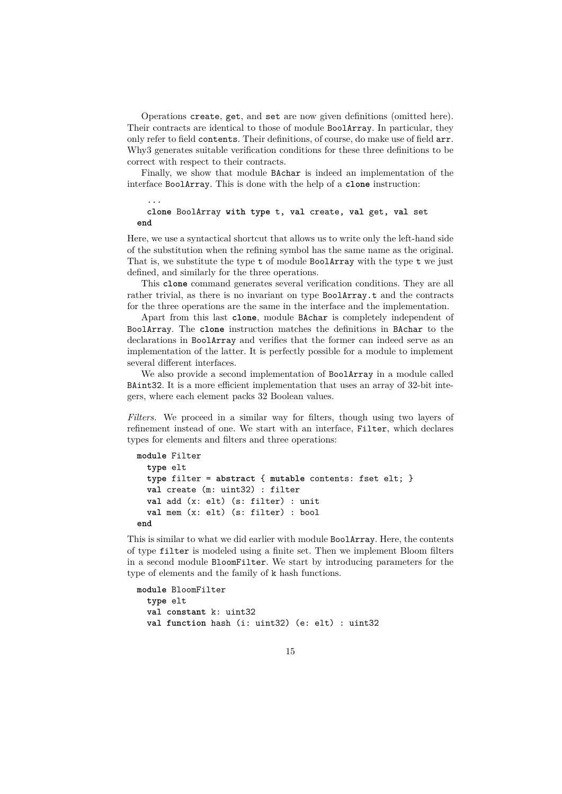Operations create, get, and set are now given definitions (omitted here). Their contracts are identical to those of module BoolArray. In particular, they only refer to field contents. Their definitions, of course, do make use of field arr. Why3 generates suitable verification conditions for these three definitions to be correct with respect to their contracts.

Finally, we show that module BAchar is indeed an implementation of the interface BoolArray. This is done with the help of a **clone** instruction:

... **clone** BoolArray **with type** t, **val** create, **val** get, **val** set **end**

Here, we use a syntactical shortcut that allows us to write only the left-hand side of the substitution when the refining symbol has the same name as the original. That is, we substitute the type t of module BoolArray with the type t we just defined, and similarly for the three operations.

This **clone** command generates several verification conditions. They are all rather trivial, as there is no invariant on type BoolArray.t and the contracts for the three operations are the same in the interface and the implementation.

Apart from this last **clone**, module BAchar is completely independent of BoolArray. The **clone** instruction matches the definitions in BAchar to the declarations in BoolArray and verifies that the former can indeed serve as an implementation of the latter. It is perfectly possible for a module to implement several different interfaces.

We also provide a second implementation of BoolArray in a module called BAint32. It is a more efficient implementation that uses an array of 32-bit integers, where each element packs 32 Boolean values.

*Filters.* We proceed in a similar way for filters, though using two layers of refinement instead of one. We start with an interface, Filter, which declares types for elements and filters and three operations:

```
module Filter
 type elt
 type filter = abstract { mutable contents: fset elt; }
 val create (m: uint32) : filter
 val add (x: elt) (s: filter) : unit
 val mem (x: elt) (s: filter) : bool
end
```
This is similar to what we did earlier with module BoolArray. Here, the contents of type filter is modeled using a finite set. Then we implement Bloom filters in a second module BloomFilter. We start by introducing parameters for the type of elements and the family of k hash functions.

```
module BloomFilter
 type elt
 val constant k: uint32
 val function hash (i: uint32) (e: elt) : uint32
```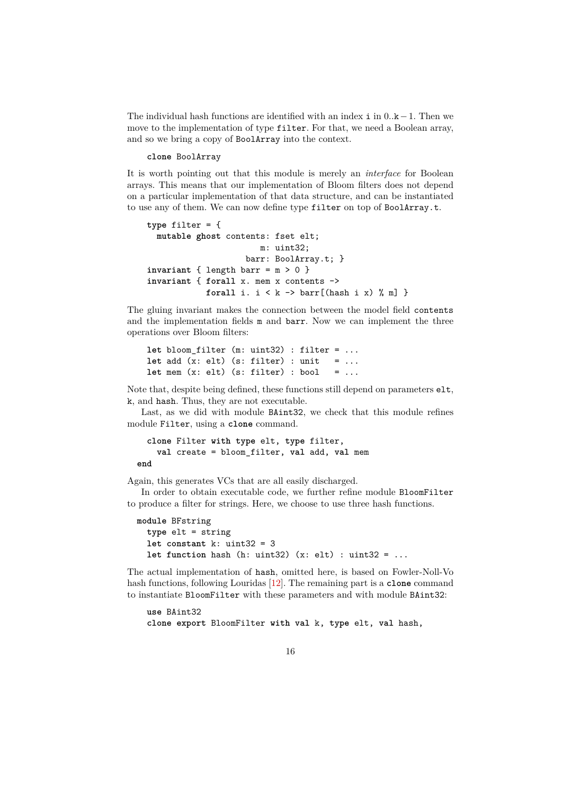The individual hash functions are identified with an index i in 0*..*k−1. Then we move to the implementation of type filter. For that, we need a Boolean array, and so we bring a copy of BoolArray into the context.

**clone** BoolArray

It is worth pointing out that this module is merely an *interface* for Boolean arrays. This means that our implementation of Bloom filters does not depend on a particular implementation of that data structure, and can be instantiated to use any of them. We can now define type filter on top of BoolArray.t.

```
type filter = {
  mutable ghost contents: fset elt;
                          m: uint32;
                       barr: BoolArray.t; }
invariant \{ length \, barn = m > 0 \}invariant { forall x. mem x contents ->
              forall i. i < k \rightarrow \text{barr} [(hash i x) \text{\% m}] }
```
The gluing invariant makes the connection between the model field contents and the implementation fields m and barr. Now we can implement the three operations over Bloom filters:

```
let bloom_filter (m: uint32) : filter = ...
let add (x: elt) (s: filter) : unit = ...
let mem (x: elt) (s: filter) : bool = ...
```
Note that, despite being defined, these functions still depend on parameters elt, k, and hash. Thus, they are not executable.

Last, as we did with module BAint32, we check that this module refines module Filter, using a **clone** command.

```
clone Filter with type elt, type filter,
    val create = bloom_filter, val add, val mem
end
```
Again, this generates VCs that are all easily discharged.

In order to obtain executable code, we further refine module BloomFilter to produce a filter for strings. Here, we choose to use three hash functions.

```
module BFstring
 type elt = string
 let constant k: uint32 = 3
 let function hash (h: unit32) (x: e1t): uint32 = ...
```
The actual implementation of hash, omitted here, is based on Fowler-Noll-Vo hash functions, following Louridas [12]. The remaining part is a **clone** command to instantiate BloomFilter with these parameters and with module BAint32:

```
use BAint32
clone export BloomFilter with val k, type elt, val hash,
```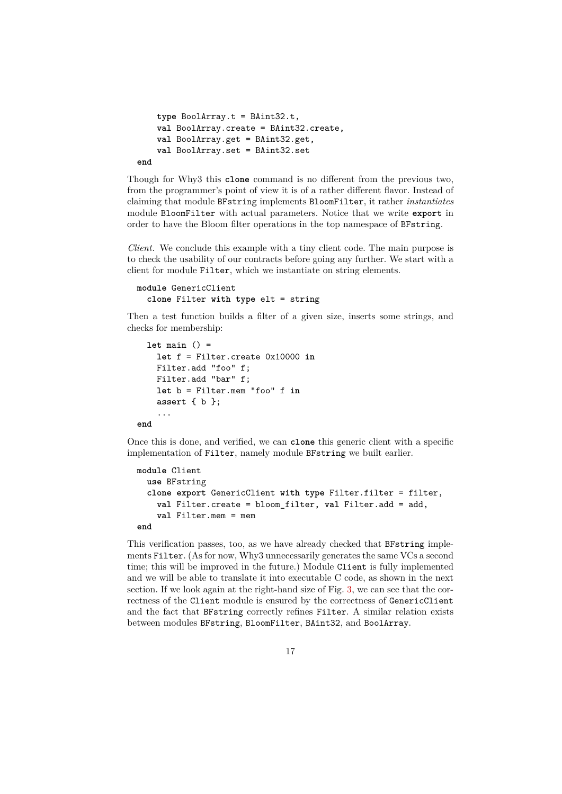```
type BoolArray.t = BAint32.t,
   val BoolArray.create = BAint32.create,
   val BoolArray.get = BAint32.get,
   val BoolArray.set = BAint32.set
end
```
Though for Why3 this **clone** command is no different from the previous two, from the programmer's point of view it is of a rather different flavor. Instead of claiming that module BFstring implements BloomFilter, it rather *instantiates* module BloomFilter with actual parameters. Notice that we write **export** in order to have the Bloom filter operations in the top namespace of BFstring.

*Client.* We conclude this example with a tiny client code. The main purpose is to check the usability of our contracts before going any further. We start with a client for module Filter, which we instantiate on string elements.

```
module GenericClient
  clone Filter with type elt = string
```
Then a test function builds a filter of a given size, inserts some strings, and checks for membership:

```
let main () =
    let f = Filter.create 0x10000 in
    Filter.add "foo" f;
   Filter.add "bar" f;
   let b = Filter.mem "foo" f in
    assert { b };
    ...
end
```
Once this is done, and verified, we can **clone** this generic client with a specific implementation of Filter, namely module BFstring we built earlier.

```
module Client
 use BFstring
 clone export GenericClient with type Filter.filter = filter,
   val Filter.create = bloom_filter, val Filter.add = add,
   val Filter.mem = mem
end
```
This verification passes, too, as we have already checked that BFstring implements Filter. (As for now, Why3 unnecessarily generates the same VCs a second time; this will be improved in the future.) Module Client is fully implemented and we will be able to translate it into executable C code, as shown in the next section. If we look again at the right-hand size of Fig. 3, we can see that the correctness of the Client module is ensured by the correctness of GenericClient and the fact that BFstring correctly refines Filter. A similar relation exists between modules BFstring, BloomFilter, BAint32, and BoolArray.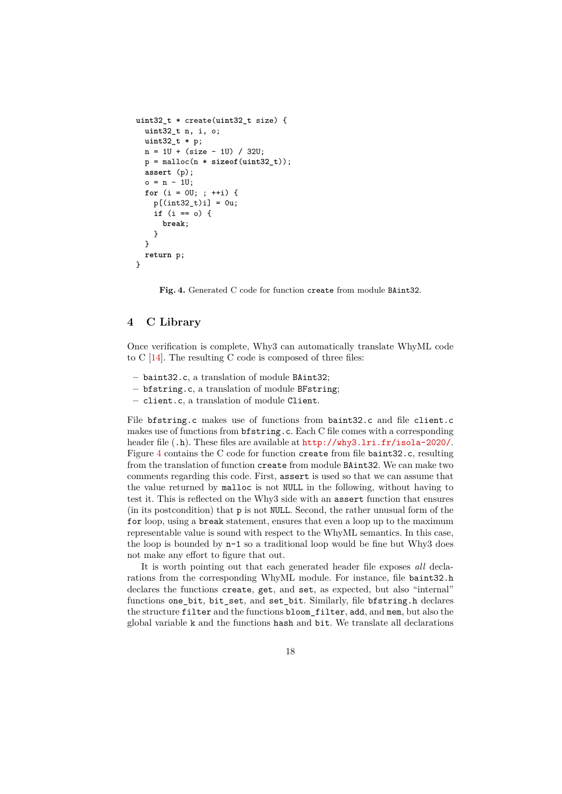```
uint32_t * create(uint32_t size) {
  uint32_t n, i, o;
 uint32_t * p;
 n = 10 + (size - 10) / 320;p = malloc(n * sizeof(uint32_t));
  assert (p);
  o = n - 10;
  for (i = 0U; ; ++i) {
    p[(int32_t)i] = 0u;if (i == o) {
      break;
    }
  }
  return p;
}
```
**Fig. 4.** Generated C code for function create from module BAint32.

# **4 C Library**

Once verification is complete, Why3 can automatically translate WhyML code to C [14]. The resulting C code is composed of three files:

- **–** baint32.c, a translation of module BAint32;
- **–** bfstring.c, a translation of module BFstring;
- **–** client.c, a translation of module Client.

File bfstring.c makes use of functions from baint32.c and file client.c makes use of functions from bfstring.c. Each C file comes with a corresponding header file (.h). These files are available at <http://why3.lri.fr/isola-2020/>. Figure 4 contains the C code for function create from file baint32.c, resulting from the translation of function create from module BAint32. We can make two comments regarding this code. First, assert is used so that we can assume that the value returned by malloc is not NULL in the following, without having to test it. This is reflected on the Why3 side with an assert function that ensures (in its postcondition) that p is not NULL. Second, the rather unusual form of the for loop, using a break statement, ensures that even a loop up to the maximum representable value is sound with respect to the WhyML semantics. In this case, the loop is bounded by n-1 so a traditional loop would be fine but Why3 does not make any effort to figure that out.

It is worth pointing out that each generated header file exposes *all* declarations from the corresponding WhyML module. For instance, file baint32.h declares the functions create, get, and set, as expected, but also "internal" functions one\_bit, bit\_set, and set\_bit. Similarly, file bfstring.h declares the structure filter and the functions bloom\_filter, add, and mem, but also the global variable k and the functions hash and bit. We translate all declarations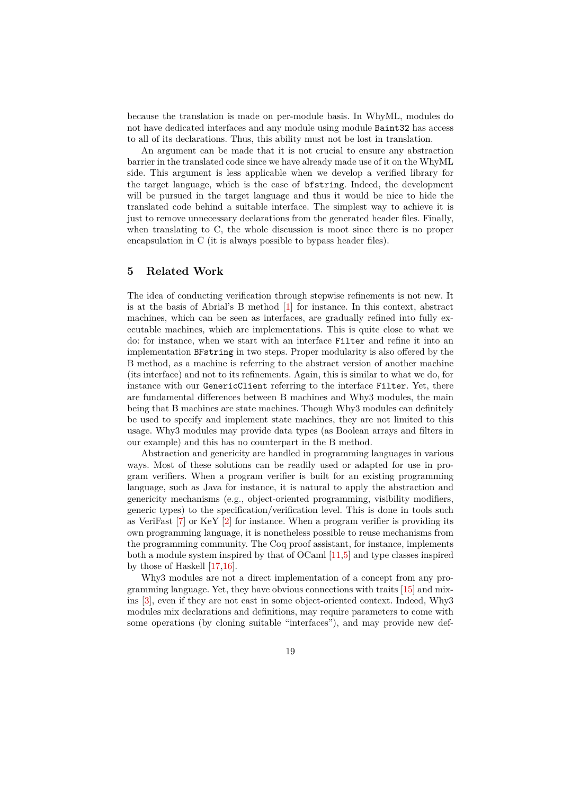because the translation is made on per-module basis. In WhyML, modules do not have dedicated interfaces and any module using module Baint32 has access to all of its declarations. Thus, this ability must not be lost in translation.

An argument can be made that it is not crucial to ensure any abstraction barrier in the translated code since we have already made use of it on the WhyML side. This argument is less applicable when we develop a verified library for the target language, which is the case of bfstring. Indeed, the development will be pursued in the target language and thus it would be nice to hide the translated code behind a suitable interface. The simplest way to achieve it is just to remove unnecessary declarations from the generated header files. Finally, when translating to C, the whole discussion is moot since there is no proper encapsulation in C (it is always possible to bypass header files).

## **5 Related Work**

The idea of conducting verification through stepwise refinements is not new. It is at the basis of Abrial's B method [1] for instance. In this context, abstract machines, which can be seen as interfaces, are gradually refined into fully executable machines, which are implementations. This is quite close to what we do: for instance, when we start with an interface Filter and refine it into an implementation BFstring in two steps. Proper modularity is also offered by the B method, as a machine is referring to the abstract version of another machine (its interface) and not to its refinements. Again, this is similar to what we do, for instance with our GenericClient referring to the interface Filter. Yet, there are fundamental differences between B machines and Why3 modules, the main being that B machines are state machines. Though Why3 modules can definitely be used to specify and implement state machines, they are not limited to this usage. Why3 modules may provide data types (as Boolean arrays and filters in our example) and this has no counterpart in the B method.

Abstraction and genericity are handled in programming languages in various ways. Most of these solutions can be readily used or adapted for use in program verifiers. When a program verifier is built for an existing programming language, such as Java for instance, it is natural to apply the abstraction and genericity mechanisms (e.g., object-oriented programming, visibility modifiers, generic types) to the specification/verification level. This is done in tools such as VeriFast [7] or KeY [2] for instance. When a program verifier is providing its own programming language, it is nonetheless possible to reuse mechanisms from the programming community. The Coq proof assistant, for instance, implements both a module system inspired by that of OCaml [11,5] and type classes inspired by those of Haskell [17,16].

Why3 modules are not a direct implementation of a concept from any programming language. Yet, they have obvious connections with traits [15] and mixins [3], even if they are not cast in some object-oriented context. Indeed, Why3 modules mix declarations and definitions, may require parameters to come with some operations (by cloning suitable "interfaces"), and may provide new def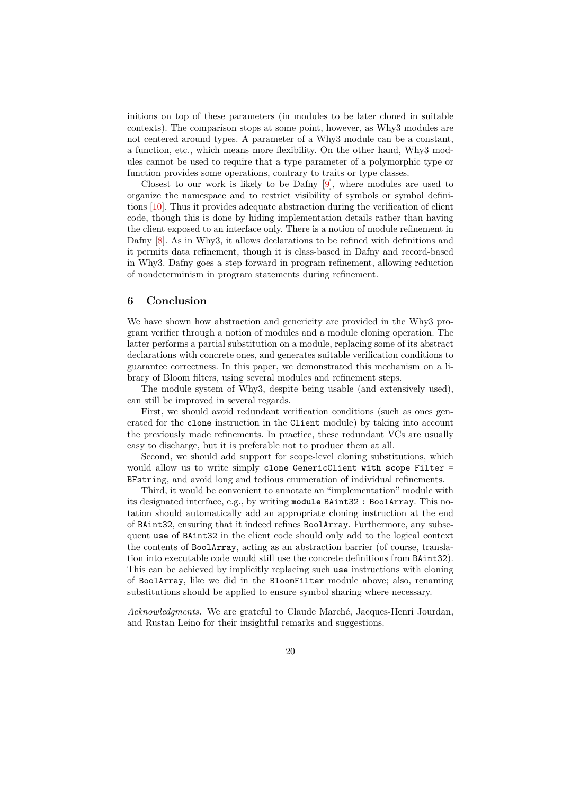initions on top of these parameters (in modules to be later cloned in suitable contexts). The comparison stops at some point, however, as Why3 modules are not centered around types. A parameter of a Why3 module can be a constant, a function, etc., which means more flexibility. On the other hand, Why3 modules cannot be used to require that a type parameter of a polymorphic type or function provides some operations, contrary to traits or type classes.

Closest to our work is likely to be Dafny [9], where modules are used to organize the namespace and to restrict visibility of symbols or symbol definitions [10]. Thus it provides adequate abstraction during the verification of client code, though this is done by hiding implementation details rather than having the client exposed to an interface only. There is a notion of module refinement in Dafny [8]. As in Why3, it allows declarations to be refined with definitions and it permits data refinement, though it is class-based in Dafny and record-based in Why3. Dafny goes a step forward in program refinement, allowing reduction of nondeterminism in program statements during refinement.

### **6 Conclusion**

We have shown how abstraction and genericity are provided in the Why3 program verifier through a notion of modules and a module cloning operation. The latter performs a partial substitution on a module, replacing some of its abstract declarations with concrete ones, and generates suitable verification conditions to guarantee correctness. In this paper, we demonstrated this mechanism on a library of Bloom filters, using several modules and refinement steps.

The module system of Why3, despite being usable (and extensively used), can still be improved in several regards.

First, we should avoid redundant verification conditions (such as ones generated for the **clone** instruction in the Client module) by taking into account the previously made refinements. In practice, these redundant VCs are usually easy to discharge, but it is preferable not to produce them at all.

Second, we should add support for scope-level cloning substitutions, which would allow us to write simply **clone** GenericClient **with scope** Filter = BFstring, and avoid long and tedious enumeration of individual refinements.

Third, it would be convenient to annotate an "implementation" module with its designated interface, e.g., by writing **module** BAint32 : BoolArray. This notation should automatically add an appropriate cloning instruction at the end of BAint32, ensuring that it indeed refines BoolArray. Furthermore, any subsequent **use** of BAint32 in the client code should only add to the logical context the contents of BoolArray, acting as an abstraction barrier (of course, translation into executable code would still use the concrete definitions from BAint32). This can be achieved by implicitly replacing such **use** instructions with cloning of BoolArray, like we did in the BloomFilter module above; also, renaming substitutions should be applied to ensure symbol sharing where necessary.

*Acknowledgments.* We are grateful to Claude Marché, Jacques-Henri Jourdan, and Rustan Leino for their insightful remarks and suggestions.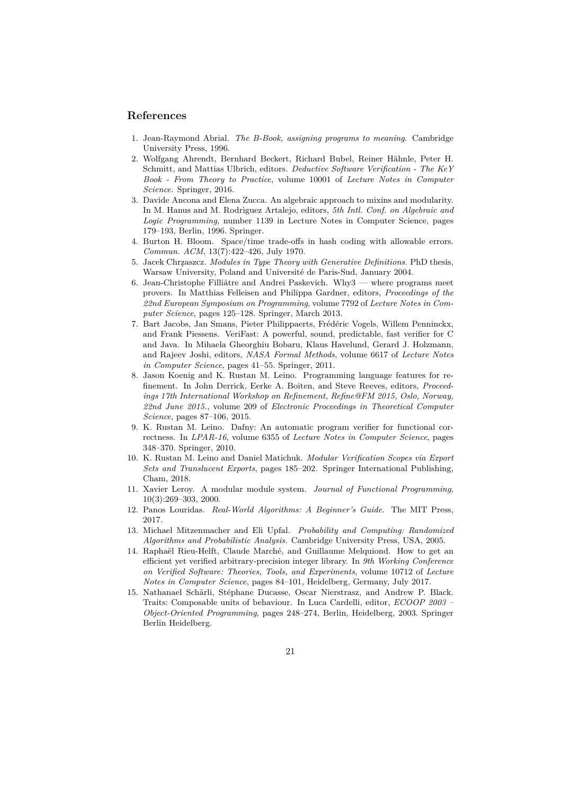### **References**

- 1. Jean-Raymond Abrial. *The B-Book, assigning programs to meaning*. Cambridge University Press, 1996.
- 2. Wolfgang Ahrendt, Bernhard Beckert, Richard Bubel, Reiner Hähnle, Peter H. Schmitt, and Mattias Ulbrich, editors. *Deductive Software Verification - The KeY Book - From Theory to Practice*, volume 10001 of *Lecture Notes in Computer Science*. Springer, 2016.
- 3. Davide Ancona and Elena Zucca. An algebraic approach to mixins and modularity. In M. Hanus and M. Rodrìguez Artalejo, editors, *5th Intl. Conf. on Algebraic and Logic Programming*, number 1139 in Lecture Notes in Computer Science, pages 179–193, Berlin, 1996. Springer.
- 4. Burton H. Bloom. Space/time trade-offs in hash coding with allowable errors. *Commun. ACM*, 13(7):422–426, July 1970.
- 5. Jacek Chrz˛aszcz. *Modules in Type Theory with Generative Definitions*. PhD thesis, Warsaw University, Poland and Université de Paris-Sud, January 2004.
- 6. Jean-Christophe Filliâtre and Andrei Paskevich. Why3 where programs meet provers. In Matthias Felleisen and Philippa Gardner, editors, *Proceedings of the 22nd European Symposium on Programming*, volume 7792 of *Lecture Notes in Computer Science*, pages 125–128. Springer, March 2013.
- 7. Bart Jacobs, Jan Smans, Pieter Philippaerts, Frédéric Vogels, Willem Penninckx, and Frank Piessens. VeriFast: A powerful, sound, predictable, fast verifier for C and Java. In Mihaela Gheorghiu Bobaru, Klaus Havelund, Gerard J. Holzmann, and Rajeev Joshi, editors, *NASA Formal Methods*, volume 6617 of *Lecture Notes in Computer Science*, pages 41–55. Springer, 2011.
- 8. Jason Koenig and K. Rustan M. Leino. Programming language features for refinement. In John Derrick, Eerke A. Boiten, and Steve Reeves, editors, *Proceedings 17th International Workshop on Refinement, Refine@FM 2015, Oslo, Norway, 22nd June 2015.*, volume 209 of *Electronic Proceedings in Theoretical Computer Science*, pages 87–106, 2015.
- 9. K. Rustan M. Leino. Dafny: An automatic program verifier for functional correctness. In *LPAR-16*, volume 6355 of *Lecture Notes in Computer Science*, pages 348–370. Springer, 2010.
- 10. K. Rustan M. Leino and Daniel Matichuk. *Modular Verification Scopes via Export Sets and Translucent Exports*, pages 185–202. Springer International Publishing, Cham, 2018.
- 11. Xavier Leroy. A modular module system. *Journal of Functional Programming*, 10(3):269–303, 2000.
- 12. Panos Louridas. *Real-World Algorithms: A Beginner's Guide*. The MIT Press, 2017.
- 13. Michael Mitzenmacher and Eli Upfal. *Probability and Computing: Randomized Algorithms and Probabilistic Analysis*. Cambridge University Press, USA, 2005.
- 14. Raphaël Rieu-Helft, Claude Marché, and Guillaume Melquiond. How to get an efficient yet verified arbitrary-precision integer library. In *9th Working Conference on Verified Software: Theories, Tools, and Experiments*, volume 10712 of *Lecture Notes in Computer Science*, pages 84–101, Heidelberg, Germany, July 2017.
- 15. Nathanael Schärli, Stéphane Ducasse, Oscar Nierstrasz, and Andrew P. Black. Traits: Composable units of behaviour. In Luca Cardelli, editor, *ECOOP 2003 – Object-Oriented Programming*, pages 248–274, Berlin, Heidelberg, 2003. Springer Berlin Heidelberg.